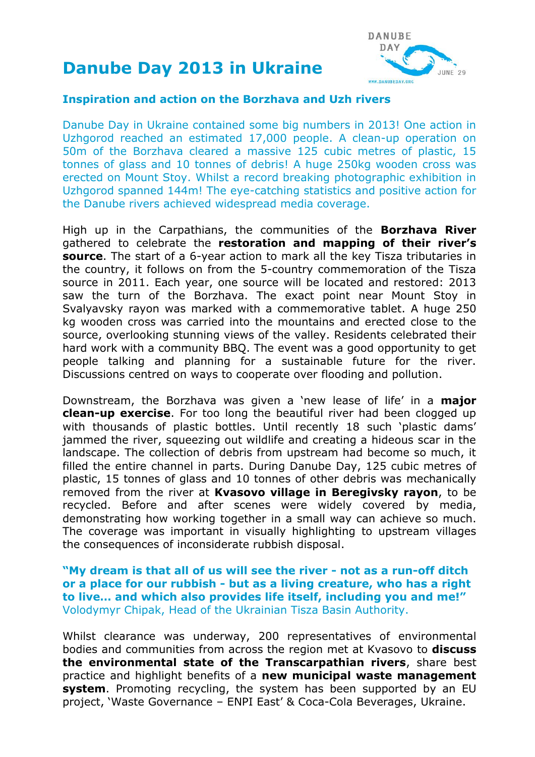# **Danube Day 2013 in Ukraine**



#### **Inspiration and action on the Borzhava and Uzh rivers**

Danube Day in Ukraine contained some big numbers in 2013! One action in Uzhgorod reached an estimated 17,000 people. A clean-up operation on 50m of the Borzhava cleared a massive 125 cubic metres of plastic, 15 tonnes of glass and 10 tonnes of debris! A huge 250kg wooden cross was erected on Mount Stoy. Whilst a record breaking photographic exhibition in Uzhgorod spanned 144m! The eye-catching statistics and positive action for the Danube rivers achieved widespread media coverage.

High up in the Carpathians, the communities of the **Borzhava River** gathered to celebrate the **restoration and mapping of their river's source**. The start of a 6-year action to mark all the key Tisza tributaries in the country, it follows on from the 5-country commemoration of the Tisza source in 2011. Each year, one source will be located and restored: 2013 saw the turn of the Borzhava. The exact point near Mount Stoy in Svalyavsky rayon was marked with a commemorative tablet. A huge 250 kg wooden cross was carried into the mountains and erected close to the source, overlooking stunning views of the valley. Residents celebrated their hard work with a community BBQ. The event was a good opportunity to get people talking and planning for a sustainable future for the river. Discussions centred on ways to cooperate over flooding and pollution.

Downstream, the Borzhava was given a 'new lease of life' in a **major clean-up exercise**. For too long the beautiful river had been clogged up with thousands of plastic bottles. Until recently 18 such 'plastic dams' jammed the river, squeezing out wildlife and creating a hideous scar in the landscape. The collection of debris from upstream had become so much, it filled the entire channel in parts. During Danube Day, 125 cubic metres of plastic, 15 tonnes of glass and 10 tonnes of other debris was mechanically removed from the river at **Kvasovo village in Beregivsky rayon**, to be recycled. Before and after scenes were widely covered by media, demonstrating how working together in a small way can achieve so much. The coverage was important in visually highlighting to upstream villages the consequences of inconsiderate rubbish disposal.

**"My dream is that all of us will see the river - not as a run-off ditch or a place for our rubbish - but as a living creature, who has a right to live… and which also provides life itself, including you and me!"** Volodymyr Chipak, Head of the Ukrainian Tisza Basin Authority.

Whilst clearance was underway, 200 representatives of environmental bodies and communities from across the region met at Kvasovo to **discuss the environmental state of the Transcarpathian rivers**, share best practice and highlight benefits of a **new municipal waste management system**. Promoting recycling, the system has been supported by an EU project, 'Waste Governance – ENPI East' & Coca-Cola Beverages, Ukraine.